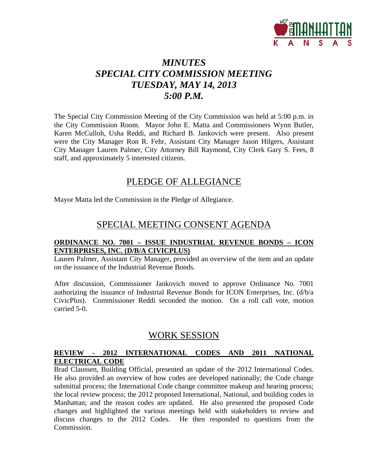

# *MINUTES SPECIAL CITY COMMISSION MEETING TUESDAY, MAY 14, 2013 5:00 P.M.*

The Special City Commission Meeting of the City Commission was held at 5:00 p.m. in the City Commission Room. Mayor John E. Matta and Commissioners Wynn Butler, Karen McCulloh, Usha Reddi, and Richard B. Jankovich were present. Also present were the City Manager Ron R. Fehr, Assistant City Manager Jason Hilgers, Assistant City Manager Lauren Palmer, City Attorney Bill Raymond, City Clerk Gary S. Fees, 8 staff, and approximately 5 interested citizens.

### PLEDGE OF ALLEGIANCE

Mayor Matta led the Commission in the Pledge of Allegiance.

## SPECIAL MEETING CONSENT AGENDA

#### **ORDINANCE NO. 7001 – ISSUE INDUSTRIAL REVENUE BONDS – ICON ENTERPRISES, INC. (D/B/A CIVICPLUS)**

Lauren Palmer, Assistant City Manager, provided an overview of the item and an update on the issuance of the Industrial Revenue Bonds.

After discussion, Commissioner Jankovich moved to approve Ordinance No. 7001 authorizing the issuance of Industrial Revenue Bonds for ICON Enterprises, Inc. (d/b/a CivicPlus). Commissioner Reddi seconded the motion. On a roll call vote, motion carried 5-0.

### WORK SESSION

### **REVIEW - 2012 INTERNATIONAL CODES AND 2011 NATIONAL ELECTRICAL CODE**

Brad Claussen, Building Official, presented an update of the 2012 International Codes. He also provided an overview of how codes are developed nationally; the Code change submittal process; the International Code change committee makeup and hearing process; the local review process; the 2012 proposed International, National, and building codes in Manhattan; and the reason codes are updated. He also presented the proposed Code changes and highlighted the various meetings held with stakeholders to review and discuss changes to the 2012 Codes. He then responded to questions from the Commission.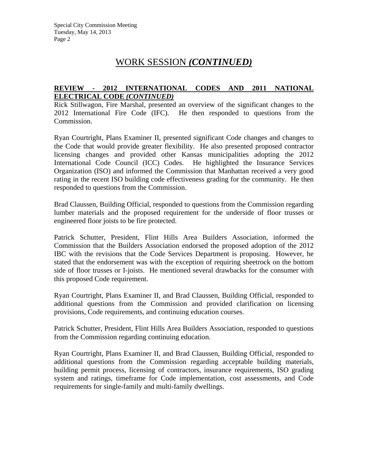# WORK SESSION *(CONTINUED)*

#### **REVIEW - 2012 INTERNATIONAL CODES AND 2011 NATIONAL ELECTRICAL CODE** *(CONTINUED)*

Rick Stillwagon, Fire Marshal, presented an overview of the significant changes to the 2012 International Fire Code (IFC). He then responded to questions from the Commission.

Ryan Courtright, Plans Examiner II, presented significant Code changes and changes to the Code that would provide greater flexibility. He also presented proposed contractor licensing changes and provided other Kansas municipalities adopting the 2012 International Code Council (ICC) Codes. He highlighted the Insurance Services Organization (ISO) and informed the Commission that Manhattan received a very good rating in the recent ISO building code effectiveness grading for the community. He then responded to questions from the Commission.

Brad Claussen, Building Official, responded to questions from the Commission regarding lumber materials and the proposed requirement for the underside of floor trusses or engineered floor joists to be fire protected.

Patrick Schutter, President, Flint Hills Area Builders Association, informed the Commission that the Builders Association endorsed the proposed adoption of the 2012 IBC with the revisions that the Code Services Department is proposing. However, he stated that the endorsement was with the exception of requiring sheetrock on the bottom side of floor trusses or I-joists. He mentioned several drawbacks for the consumer with this proposed Code requirement.

Ryan Courtright, Plans Examiner II, and Brad Claussen, Building Official, responded to additional questions from the Commission and provided clarification on licensing provisions, Code requirements, and continuing education courses.

Patrick Schutter, President, Flint Hills Area Builders Association, responded to questions from the Commission regarding continuing education.

Ryan Courtright, Plans Examiner II, and Brad Claussen, Building Official, responded to additional questions from the Commission regarding acceptable building materials, building permit process, licensing of contractors, insurance requirements, ISO grading system and ratings, timeframe for Code implementation, cost assessments, and Code requirements for single-family and multi-family dwellings.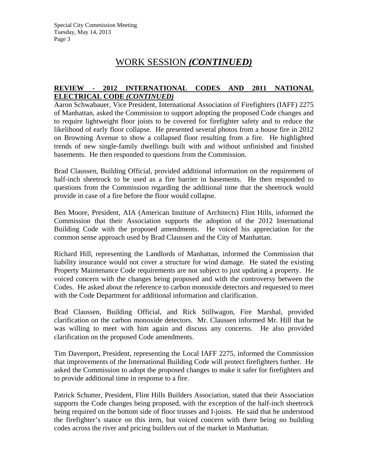# WORK SESSION *(CONTINUED)*

#### **REVIEW - 2012 INTERNATIONAL CODES AND 2011 NATIONAL ELECTRICAL CODE** *(CONTINUED)*

Aaron Schwabauer, Vice President, International Association of Firefighters (IAFF) 2275 of Manhattan, asked the Commission to support adopting the proposed Code changes and to require lightweight floor joists to be covered for firefighter safety and to reduce the likelihood of early floor collapse. He presented several photos from a house fire in 2012 on Browning Avenue to show a collapsed floor resulting from a fire. He highlighted trends of new single-family dwellings built with and without unfinished and finished basements. He then responded to questions from the Commission.

Brad Claussen, Building Official, provided additional information on the requirement of half-inch sheetrock to be used as a fire barrier in basements. He then responded to questions from the Commission regarding the additional time that the sheetrock would provide in case of a fire before the floor would collapse.

Ben Moore, President, AIA (American Institute of Architects) Flint Hills, informed the Commission that their Association supports the adoption of the 2012 International Building Code with the proposed amendments. He voiced his appreciation for the common sense approach used by Brad Claussen and the City of Manhattan.

Richard Hill, representing the Landlords of Manhattan, informed the Commission that liability insurance would not cover a structure for wind damage. He stated the existing Property Maintenance Code requirements are not subject to just updating a property. He voiced concern with the changes being proposed and with the controversy between the Codes. He asked about the reference to carbon monoxide detectors and requested to meet with the Code Department for additional information and clarification.

Brad Claussen, Building Official, and Rick Stillwagon, Fire Marshal, provided clarification on the carbon monoxide detectors. Mr. Claussen informed Mr. Hill that he was willing to meet with him again and discuss any concerns. He also provided clarification on the proposed Code amendments.

Tim Davenport, President, representing the Local IAFF 2275, informed the Commission that improvements of the International Building Code will protect firefighters further. He asked the Commission to adopt the proposed changes to make it safer for firefighters and to provide additional time in response to a fire.

Patrick Schutter, President, Flint Hills Builders Association, stated that their Association supports the Code changes being proposed, with the exception of the half-inch sheetrock being required on the bottom side of floor trusses and I-joists. He said that he understood the firefighter's stance on this item, but voiced concern with there being no building codes across the river and pricing builders out of the market in Manhattan.